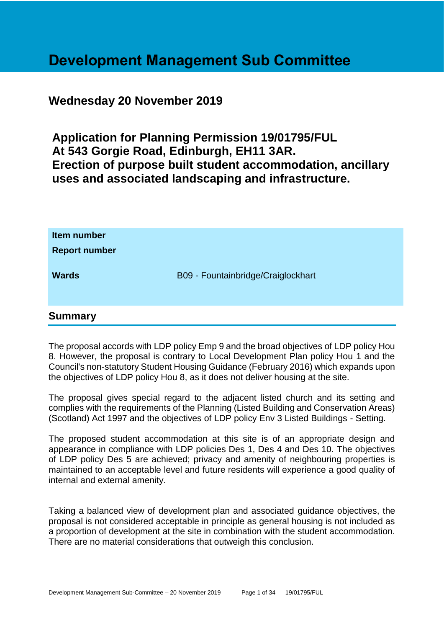## **Development Management Sub Committee**

### **Wednesday 20 November 2019**

**Application for Planning Permission 19/01795/FUL At 543 Gorgie Road, Edinburgh, EH11 3AR. Erection of purpose built student accommodation, ancillary uses and associated landscaping and infrastructure.**

| Item number<br><b>Report number</b> |                                    |
|-------------------------------------|------------------------------------|
| <b>Wards</b>                        | B09 - Fountainbridge/Craiglockhart |
|                                     |                                    |

### **Summary**

The proposal accords with LDP policy Emp 9 and the broad objectives of LDP policy Hou 8. However, the proposal is contrary to Local Development Plan policy Hou 1 and the Council's non-statutory Student Housing Guidance (February 2016) which expands upon the objectives of LDP policy Hou 8, as it does not deliver housing at the site.

The proposal gives special regard to the adjacent listed church and its setting and complies with the requirements of the Planning (Listed Building and Conservation Areas) (Scotland) Act 1997 and the objectives of LDP policy Env 3 Listed Buildings - Setting.

The proposed student accommodation at this site is of an appropriate design and appearance in compliance with LDP policies Des 1, Des 4 and Des 10. The objectives of LDP policy Des 5 are achieved; privacy and amenity of neighbouring properties is maintained to an acceptable level and future residents will experience a good quality of internal and external amenity.

Taking a balanced view of development plan and associated guidance objectives, the proposal is not considered acceptable in principle as general housing is not included as a proportion of development at the site in combination with the student accommodation. There are no material considerations that outweigh this conclusion.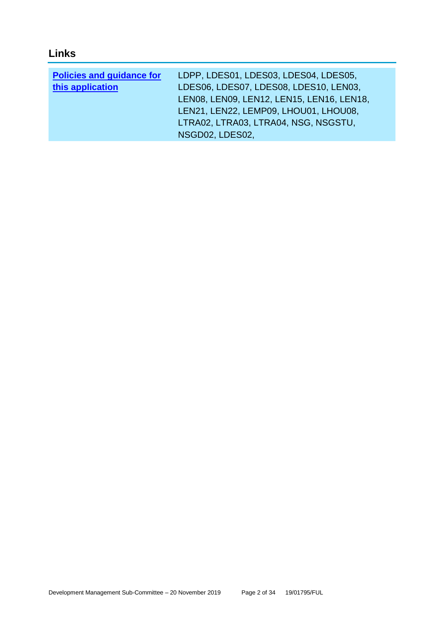### **Links**

| <b>Policies and guidance for</b> | LDPP, LDES01, LDES03, LDES04, LDES05,     |
|----------------------------------|-------------------------------------------|
| this application                 | LDES06, LDES07, LDES08, LDES10, LEN03,    |
|                                  | LEN08, LEN09, LEN12, LEN15, LEN16, LEN18, |
|                                  | LEN21, LEN22, LEMP09, LHOU01, LHOU08,     |
|                                  | LTRA02, LTRA03, LTRA04, NSG, NSGSTU,      |
|                                  | NSGD02, LDES02,                           |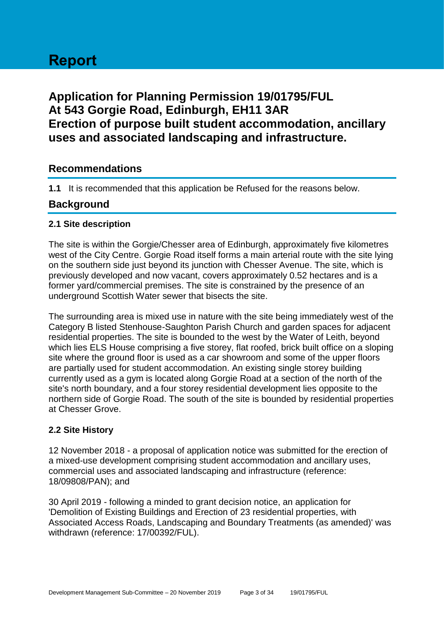# **Report**

### **Application for Planning Permission 19/01795/FUL At 543 Gorgie Road, Edinburgh, EH11 3AR Erection of purpose built student accommodation, ancillary uses and associated landscaping and infrastructure.**

### **Recommendations**

**1.1** It is recommended that this application be Refused for the reasons below.

### **Background**

#### **2.1 Site description**

The site is within the Gorgie/Chesser area of Edinburgh, approximately five kilometres west of the City Centre. Gorgie Road itself forms a main arterial route with the site lying on the southern side just beyond its junction with Chesser Avenue. The site, which is previously developed and now vacant, covers approximately 0.52 hectares and is a former yard/commercial premises. The site is constrained by the presence of an underground Scottish Water sewer that bisects the site.

The surrounding area is mixed use in nature with the site being immediately west of the Category B listed Stenhouse-Saughton Parish Church and garden spaces for adjacent residential properties. The site is bounded to the west by the Water of Leith, beyond which lies ELS House comprising a five storey, flat roofed, brick built office on a sloping site where the ground floor is used as a car showroom and some of the upper floors are partially used for student accommodation. An existing single storey building currently used as a gym is located along Gorgie Road at a section of the north of the site's north boundary, and a four storey residential development lies opposite to the northern side of Gorgie Road. The south of the site is bounded by residential properties at Chesser Grove.

#### **2.2 Site History**

12 November 2018 - a proposal of application notice was submitted for the erection of a mixed-use development comprising student accommodation and ancillary uses, commercial uses and associated landscaping and infrastructure (reference: 18/09808/PAN); and

30 April 2019 - following a minded to grant decision notice, an application for 'Demolition of Existing Buildings and Erection of 23 residential properties, with Associated Access Roads, Landscaping and Boundary Treatments (as amended)' was withdrawn (reference: 17/00392/FUL).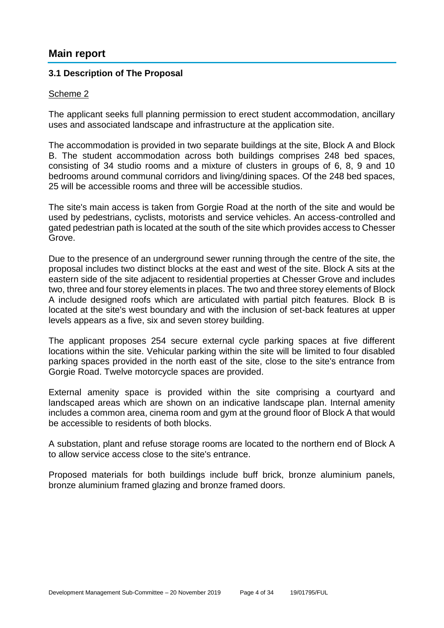### **Main report**

#### **3.1 Description of The Proposal**

#### Scheme 2

The applicant seeks full planning permission to erect student accommodation, ancillary uses and associated landscape and infrastructure at the application site.

The accommodation is provided in two separate buildings at the site, Block A and Block B. The student accommodation across both buildings comprises 248 bed spaces, consisting of 34 studio rooms and a mixture of clusters in groups of 6, 8, 9 and 10 bedrooms around communal corridors and living/dining spaces. Of the 248 bed spaces, 25 will be accessible rooms and three will be accessible studios.

The site's main access is taken from Gorgie Road at the north of the site and would be used by pedestrians, cyclists, motorists and service vehicles. An access-controlled and gated pedestrian path is located at the south of the site which provides access to Chesser Grove.

Due to the presence of an underground sewer running through the centre of the site, the proposal includes two distinct blocks at the east and west of the site. Block A sits at the eastern side of the site adjacent to residential properties at Chesser Grove and includes two, three and four storey elements in places. The two and three storey elements of Block A include designed roofs which are articulated with partial pitch features. Block B is located at the site's west boundary and with the inclusion of set-back features at upper levels appears as a five, six and seven storey building.

The applicant proposes 254 secure external cycle parking spaces at five different locations within the site. Vehicular parking within the site will be limited to four disabled parking spaces provided in the north east of the site, close to the site's entrance from Gorgie Road. Twelve motorcycle spaces are provided.

External amenity space is provided within the site comprising a courtyard and landscaped areas which are shown on an indicative landscape plan. Internal amenity includes a common area, cinema room and gym at the ground floor of Block A that would be accessible to residents of both blocks.

A substation, plant and refuse storage rooms are located to the northern end of Block A to allow service access close to the site's entrance.

Proposed materials for both buildings include buff brick, bronze aluminium panels, bronze aluminium framed glazing and bronze framed doors.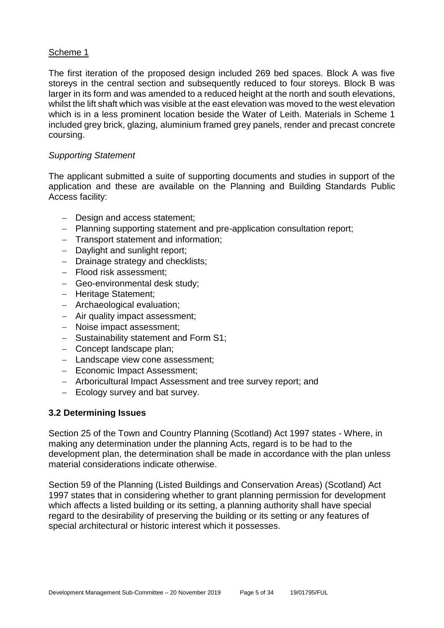#### Scheme 1

The first iteration of the proposed design included 269 bed spaces. Block A was five storeys in the central section and subsequently reduced to four storeys. Block B was larger in its form and was amended to a reduced height at the north and south elevations, whilst the lift shaft which was visible at the east elevation was moved to the west elevation which is in a less prominent location beside the Water of Leith. Materials in Scheme 1 included grey brick, glazing, aluminium framed grey panels, render and precast concrete coursing.

#### *Supporting Statement*

The applicant submitted a suite of supporting documents and studies in support of the application and these are available on the Planning and Building Standards Public Access facility:

- − Design and access statement;
- − Planning supporting statement and pre-application consultation report;
- − Transport statement and information;
- − Daylight and sunlight report;
- − Drainage strategy and checklists;
- − Flood risk assessment;
- − Geo-environmental desk study;
- − Heritage Statement;
- − Archaeological evaluation;
- − Air quality impact assessment;
- − Noise impact assessment;
- − Sustainability statement and Form S1;
- − Concept landscape plan;
- − Landscape view cone assessment;
- − Economic Impact Assessment;
- − Arboricultural Impact Assessment and tree survey report; and
- − Ecology survey and bat survey.

#### **3.2 Determining Issues**

Section 25 of the Town and Country Planning (Scotland) Act 1997 states - Where, in making any determination under the planning Acts, regard is to be had to the development plan, the determination shall be made in accordance with the plan unless material considerations indicate otherwise.

Section 59 of the Planning (Listed Buildings and Conservation Areas) (Scotland) Act 1997 states that in considering whether to grant planning permission for development which affects a listed building or its setting, a planning authority shall have special regard to the desirability of preserving the building or its setting or any features of special architectural or historic interest which it possesses.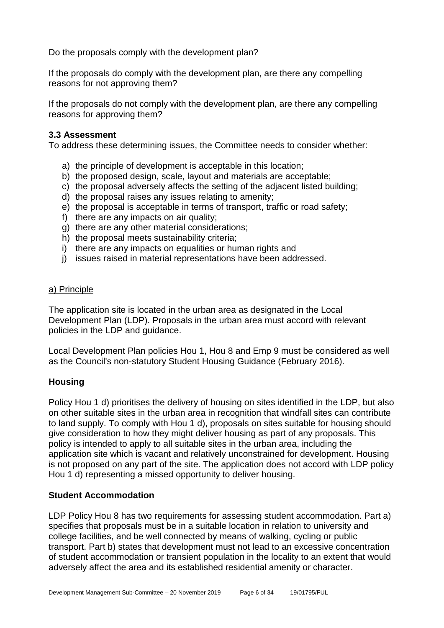Do the proposals comply with the development plan?

If the proposals do comply with the development plan, are there any compelling reasons for not approving them?

If the proposals do not comply with the development plan, are there any compelling reasons for approving them?

#### **3.3 Assessment**

To address these determining issues, the Committee needs to consider whether:

- a) the principle of development is acceptable in this location;
- b) the proposed design, scale, layout and materials are acceptable;
- c) the proposal adversely affects the setting of the adjacent listed building;
- d) the proposal raises any issues relating to amenity;
- e) the proposal is acceptable in terms of transport, traffic or road safety;
- f) there are any impacts on air quality:
- g) there are any other material considerations;
- h) the proposal meets sustainability criteria;
- i) there are any impacts on equalities or human rights and
- j) issues raised in material representations have been addressed.

#### a) Principle

The application site is located in the urban area as designated in the Local Development Plan (LDP). Proposals in the urban area must accord with relevant policies in the LDP and guidance.

Local Development Plan policies Hou 1, Hou 8 and Emp 9 must be considered as well as the Council's non-statutory Student Housing Guidance (February 2016).

#### **Housing**

Policy Hou 1 d) prioritises the delivery of housing on sites identified in the LDP, but also on other suitable sites in the urban area in recognition that windfall sites can contribute to land supply. To comply with Hou 1 d), proposals on sites suitable for housing should give consideration to how they might deliver housing as part of any proposals. This policy is intended to apply to all suitable sites in the urban area, including the application site which is vacant and relatively unconstrained for development. Housing is not proposed on any part of the site. The application does not accord with LDP policy Hou 1 d) representing a missed opportunity to deliver housing.

#### **Student Accommodation**

LDP Policy Hou 8 has two requirements for assessing student accommodation. Part a) specifies that proposals must be in a suitable location in relation to university and college facilities, and be well connected by means of walking, cycling or public transport. Part b) states that development must not lead to an excessive concentration of student accommodation or transient population in the locality to an extent that would adversely affect the area and its established residential amenity or character.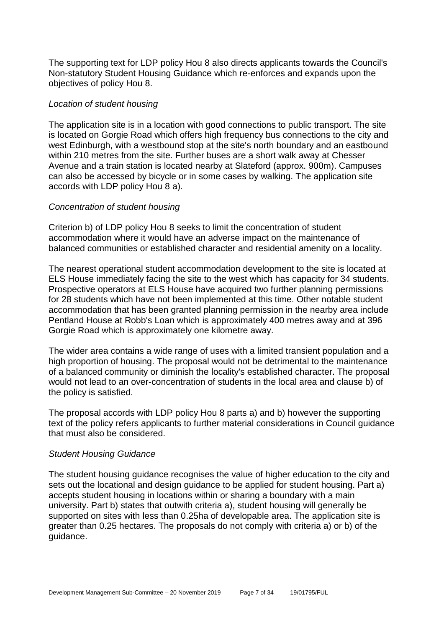The supporting text for LDP policy Hou 8 also directs applicants towards the Council's Non-statutory Student Housing Guidance which re-enforces and expands upon the objectives of policy Hou 8.

#### *Location of student housing*

The application site is in a location with good connections to public transport. The site is located on Gorgie Road which offers high frequency bus connections to the city and west Edinburgh, with a westbound stop at the site's north boundary and an eastbound within 210 metres from the site. Further buses are a short walk away at Chesser Avenue and a train station is located nearby at Slateford (approx. 900m). Campuses can also be accessed by bicycle or in some cases by walking. The application site accords with LDP policy Hou 8 a).

#### *Concentration of student housing*

Criterion b) of LDP policy Hou 8 seeks to limit the concentration of student accommodation where it would have an adverse impact on the maintenance of balanced communities or established character and residential amenity on a locality.

The nearest operational student accommodation development to the site is located at ELS House immediately facing the site to the west which has capacity for 34 students. Prospective operators at ELS House have acquired two further planning permissions for 28 students which have not been implemented at this time. Other notable student accommodation that has been granted planning permission in the nearby area include Pentland House at Robb's Loan which is approximately 400 metres away and at 396 Gorgie Road which is approximately one kilometre away.

The wider area contains a wide range of uses with a limited transient population and a high proportion of housing. The proposal would not be detrimental to the maintenance of a balanced community or diminish the locality's established character. The proposal would not lead to an over-concentration of students in the local area and clause b) of the policy is satisfied.

The proposal accords with LDP policy Hou 8 parts a) and b) however the supporting text of the policy refers applicants to further material considerations in Council guidance that must also be considered.

#### *Student Housing Guidance*

The student housing guidance recognises the value of higher education to the city and sets out the locational and design guidance to be applied for student housing. Part a) accepts student housing in locations within or sharing a boundary with a main university. Part b) states that outwith criteria a), student housing will generally be supported on sites with less than 0.25ha of developable area. The application site is greater than 0.25 hectares. The proposals do not comply with criteria a) or b) of the guidance.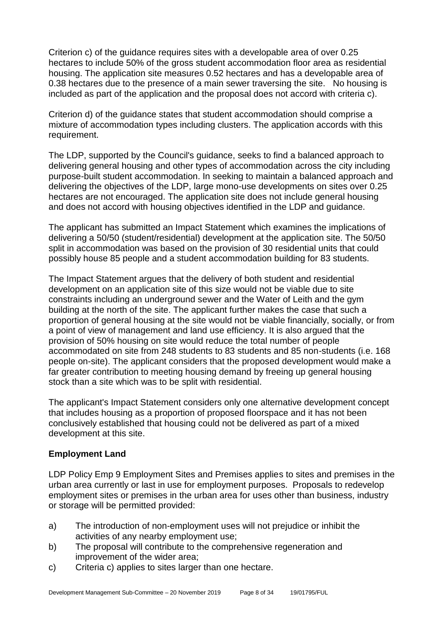Criterion c) of the guidance requires sites with a developable area of over 0.25 hectares to include 50% of the gross student accommodation floor area as residential housing. The application site measures 0.52 hectares and has a developable area of 0.38 hectares due to the presence of a main sewer traversing the site. No housing is included as part of the application and the proposal does not accord with criteria c).

Criterion d) of the guidance states that student accommodation should comprise a mixture of accommodation types including clusters. The application accords with this requirement.

The LDP, supported by the Council's guidance, seeks to find a balanced approach to delivering general housing and other types of accommodation across the city including purpose-built student accommodation. In seeking to maintain a balanced approach and delivering the objectives of the LDP, large mono-use developments on sites over 0.25 hectares are not encouraged. The application site does not include general housing and does not accord with housing objectives identified in the LDP and guidance.

The applicant has submitted an Impact Statement which examines the implications of delivering a 50/50 (student/residential) development at the application site. The 50/50 split in accommodation was based on the provision of 30 residential units that could possibly house 85 people and a student accommodation building for 83 students.

The Impact Statement argues that the delivery of both student and residential development on an application site of this size would not be viable due to site constraints including an underground sewer and the Water of Leith and the gym building at the north of the site. The applicant further makes the case that such a proportion of general housing at the site would not be viable financially, socially, or from a point of view of management and land use efficiency. It is also argued that the provision of 50% housing on site would reduce the total number of people accommodated on site from 248 students to 83 students and 85 non-students (i.e. 168 people on-site). The applicant considers that the proposed development would make a far greater contribution to meeting housing demand by freeing up general housing stock than a site which was to be split with residential.

The applicant's Impact Statement considers only one alternative development concept that includes housing as a proportion of proposed floorspace and it has not been conclusively established that housing could not be delivered as part of a mixed development at this site.

#### **Employment Land**

LDP Policy Emp 9 Employment Sites and Premises applies to sites and premises in the urban area currently or last in use for employment purposes. Proposals to redevelop employment sites or premises in the urban area for uses other than business, industry or storage will be permitted provided:

- a) The introduction of non-employment uses will not prejudice or inhibit the activities of any nearby employment use;
- b) The proposal will contribute to the comprehensive regeneration and improvement of the wider area;
- c) Criteria c) applies to sites larger than one hectare.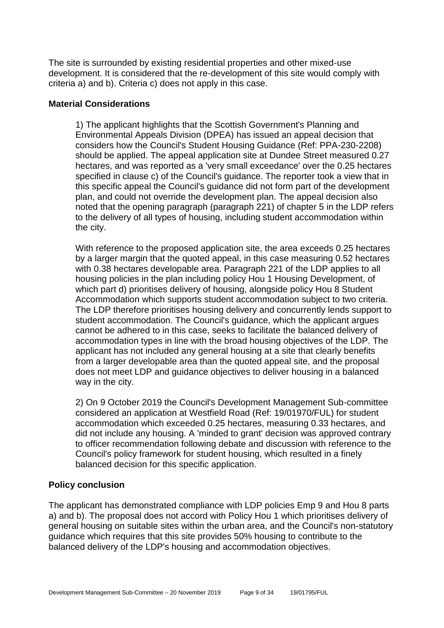The site is surrounded by existing residential properties and other mixed-use development. It is considered that the re-development of this site would comply with criteria a) and b). Criteria c) does not apply in this case.

#### **Material Considerations**

1) The applicant highlights that the Scottish Government's Planning and Environmental Appeals Division (DPEA) has issued an appeal decision that considers how the Council's Student Housing Guidance (Ref: PPA-230-2208) should be applied. The appeal application site at Dundee Street measured 0.27 hectares, and was reported as a 'very small exceedance' over the 0.25 hectares specified in clause c) of the Council's guidance. The reporter took a view that in this specific appeal the Council's guidance did not form part of the development plan, and could not override the development plan. The appeal decision also noted that the opening paragraph (paragraph 221) of chapter 5 in the LDP refers to the delivery of all types of housing, including student accommodation within the city.

With reference to the proposed application site, the area exceeds 0.25 hectares by a larger margin that the quoted appeal, in this case measuring 0.52 hectares with 0.38 hectares developable area. Paragraph 221 of the LDP applies to all housing policies in the plan including policy Hou 1 Housing Development, of which part d) prioritises delivery of housing, alongside policy Hou 8 Student Accommodation which supports student accommodation subject to two criteria. The LDP therefore prioritises housing delivery and concurrently lends support to student accommodation. The Council's guidance, which the applicant arques cannot be adhered to in this case, seeks to facilitate the balanced delivery of accommodation types in line with the broad housing objectives of the LDP. The applicant has not included any general housing at a site that clearly benefits from a larger developable area than the quoted appeal site, and the proposal does not meet LDP and guidance objectives to deliver housing in a balanced way in the city.

2) On 9 October 2019 the Council's Development Management Sub-committee considered an application at Westfield Road (Ref: 19/01970/FUL) for student accommodation which exceeded 0.25 hectares, measuring 0.33 hectares, and did not include any housing. A 'minded to grant' decision was approved contrary to officer recommendation following debate and discussion with reference to the Council's policy framework for student housing, which resulted in a finely balanced decision for this specific application.

#### **Policy conclusion**

The applicant has demonstrated compliance with LDP policies Emp 9 and Hou 8 parts a) and b). The proposal does not accord with Policy Hou 1 which prioritises delivery of general housing on suitable sites within the urban area, and the Council's non-statutory guidance which requires that this site provides 50% housing to contribute to the balanced delivery of the LDP's housing and accommodation objectives.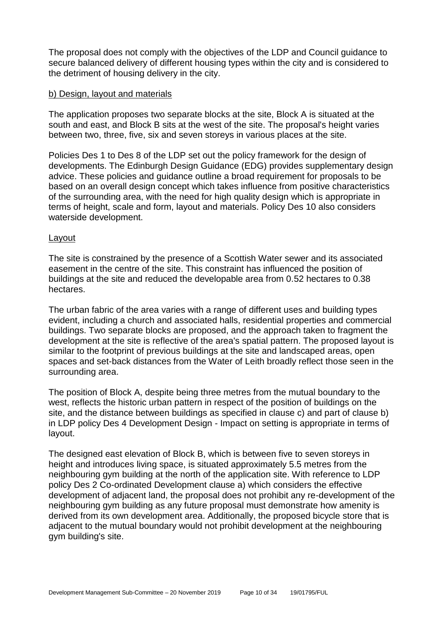The proposal does not comply with the objectives of the LDP and Council guidance to secure balanced delivery of different housing types within the city and is considered to the detriment of housing delivery in the city.

#### b) Design, layout and materials

The application proposes two separate blocks at the site, Block A is situated at the south and east, and Block B sits at the west of the site. The proposal's height varies between two, three, five, six and seven storeys in various places at the site.

Policies Des 1 to Des 8 of the LDP set out the policy framework for the design of developments. The Edinburgh Design Guidance (EDG) provides supplementary design advice. These policies and guidance outline a broad requirement for proposals to be based on an overall design concept which takes influence from positive characteristics of the surrounding area, with the need for high quality design which is appropriate in terms of height, scale and form, layout and materials. Policy Des 10 also considers waterside development.

#### Layout

The site is constrained by the presence of a Scottish Water sewer and its associated easement in the centre of the site. This constraint has influenced the position of buildings at the site and reduced the developable area from 0.52 hectares to 0.38 hectares.

The urban fabric of the area varies with a range of different uses and building types evident, including a church and associated halls, residential properties and commercial buildings. Two separate blocks are proposed, and the approach taken to fragment the development at the site is reflective of the area's spatial pattern. The proposed layout is similar to the footprint of previous buildings at the site and landscaped areas, open spaces and set-back distances from the Water of Leith broadly reflect those seen in the surrounding area.

The position of Block A, despite being three metres from the mutual boundary to the west, reflects the historic urban pattern in respect of the position of buildings on the site, and the distance between buildings as specified in clause c) and part of clause b) in LDP policy Des 4 Development Design - Impact on setting is appropriate in terms of layout.

The designed east elevation of Block B, which is between five to seven storeys in height and introduces living space, is situated approximately 5.5 metres from the neighbouring gym building at the north of the application site. With reference to LDP policy Des 2 Co-ordinated Development clause a) which considers the effective development of adjacent land, the proposal does not prohibit any re-development of the neighbouring gym building as any future proposal must demonstrate how amenity is derived from its own development area. Additionally, the proposed bicycle store that is adjacent to the mutual boundary would not prohibit development at the neighbouring gym building's site.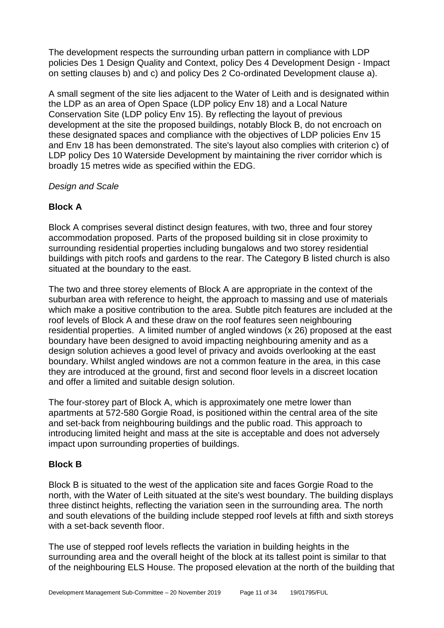The development respects the surrounding urban pattern in compliance with LDP policies Des 1 Design Quality and Context, policy Des 4 Development Design - Impact on setting clauses b) and c) and policy Des 2 Co-ordinated Development clause a).

A small segment of the site lies adjacent to the Water of Leith and is designated within the LDP as an area of Open Space (LDP policy Env 18) and a Local Nature Conservation Site (LDP policy Env 15). By reflecting the layout of previous development at the site the proposed buildings, notably Block B, do not encroach on these designated spaces and compliance with the objectives of LDP policies Env 15 and Env 18 has been demonstrated. The site's layout also complies with criterion c) of LDP policy Des 10 Waterside Development by maintaining the river corridor which is broadly 15 metres wide as specified within the EDG.

#### *Design and Scale*

#### **Block A**

Block A comprises several distinct design features, with two, three and four storey accommodation proposed. Parts of the proposed building sit in close proximity to surrounding residential properties including bungalows and two storey residential buildings with pitch roofs and gardens to the rear. The Category B listed church is also situated at the boundary to the east.

The two and three storey elements of Block A are appropriate in the context of the suburban area with reference to height, the approach to massing and use of materials which make a positive contribution to the area. Subtle pitch features are included at the roof levels of Block A and these draw on the roof features seen neighbouring residential properties. A limited number of angled windows (x 26) proposed at the east boundary have been designed to avoid impacting neighbouring amenity and as a design solution achieves a good level of privacy and avoids overlooking at the east boundary. Whilst angled windows are not a common feature in the area, in this case they are introduced at the ground, first and second floor levels in a discreet location and offer a limited and suitable design solution.

The four-storey part of Block A, which is approximately one metre lower than apartments at 572-580 Gorgie Road, is positioned within the central area of the site and set-back from neighbouring buildings and the public road. This approach to introducing limited height and mass at the site is acceptable and does not adversely impact upon surrounding properties of buildings.

#### **Block B**

Block B is situated to the west of the application site and faces Gorgie Road to the north, with the Water of Leith situated at the site's west boundary. The building displays three distinct heights, reflecting the variation seen in the surrounding area. The north and south elevations of the building include stepped roof levels at fifth and sixth storeys with a set-back seventh floor.

The use of stepped roof levels reflects the variation in building heights in the surrounding area and the overall height of the block at its tallest point is similar to that of the neighbouring ELS House. The proposed elevation at the north of the building that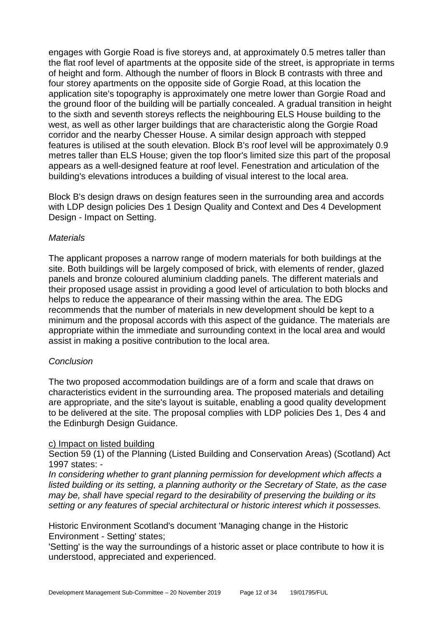engages with Gorgie Road is five storeys and, at approximately 0.5 metres taller than the flat roof level of apartments at the opposite side of the street, is appropriate in terms of height and form. Although the number of floors in Block B contrasts with three and four storey apartments on the opposite side of Gorgie Road, at this location the application site's topography is approximately one metre lower than Gorgie Road and the ground floor of the building will be partially concealed. A gradual transition in height to the sixth and seventh storeys reflects the neighbouring ELS House building to the west, as well as other larger buildings that are characteristic along the Gorgie Road corridor and the nearby Chesser House. A similar design approach with stepped features is utilised at the south elevation. Block B's roof level will be approximately 0.9 metres taller than ELS House; given the top floor's limited size this part of the proposal appears as a well-designed feature at roof level. Fenestration and articulation of the building's elevations introduces a building of visual interest to the local area.

Block B's design draws on design features seen in the surrounding area and accords with LDP design policies Des 1 Design Quality and Context and Des 4 Development Design - Impact on Setting.

#### *Materials*

The applicant proposes a narrow range of modern materials for both buildings at the site. Both buildings will be largely composed of brick, with elements of render, glazed panels and bronze coloured aluminium cladding panels. The different materials and their proposed usage assist in providing a good level of articulation to both blocks and helps to reduce the appearance of their massing within the area. The EDG recommends that the number of materials in new development should be kept to a minimum and the proposal accords with this aspect of the guidance. The materials are appropriate within the immediate and surrounding context in the local area and would assist in making a positive contribution to the local area.

#### *Conclusion*

The two proposed accommodation buildings are of a form and scale that draws on characteristics evident in the surrounding area. The proposed materials and detailing are appropriate, and the site's layout is suitable, enabling a good quality development to be delivered at the site. The proposal complies with LDP policies Des 1, Des 4 and the Edinburgh Design Guidance.

#### c) Impact on listed building

Section 59 (1) of the Planning (Listed Building and Conservation Areas) (Scotland) Act 1997 states: -

*In considering whether to grant planning permission for development which affects a listed building or its setting, a planning authority or the Secretary of State, as the case may be, shall have special regard to the desirability of preserving the building or its setting or any features of special architectural or historic interest which it possesses.*

Historic Environment Scotland's document 'Managing change in the Historic Environment - Setting' states;

'Setting' is the way the surroundings of a historic asset or place contribute to how it is understood, appreciated and experienced.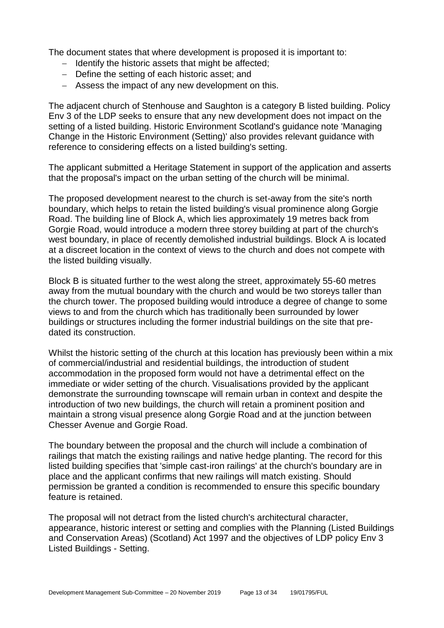The document states that where development is proposed it is important to:

- − Identify the historic assets that might be affected;
- − Define the setting of each historic asset; and
- − Assess the impact of any new development on this.

The adjacent church of Stenhouse and Saughton is a category B listed building. Policy Env 3 of the LDP seeks to ensure that any new development does not impact on the setting of a listed building. Historic Environment Scotland's guidance note 'Managing Change in the Historic Environment (Setting)' also provides relevant guidance with reference to considering effects on a listed building's setting.

The applicant submitted a Heritage Statement in support of the application and asserts that the proposal's impact on the urban setting of the church will be minimal.

The proposed development nearest to the church is set-away from the site's north boundary, which helps to retain the listed building's visual prominence along Gorgie Road. The building line of Block A, which lies approximately 19 metres back from Gorgie Road, would introduce a modern three storey building at part of the church's west boundary, in place of recently demolished industrial buildings. Block A is located at a discreet location in the context of views to the church and does not compete with the listed building visually.

Block B is situated further to the west along the street, approximately 55-60 metres away from the mutual boundary with the church and would be two storeys taller than the church tower. The proposed building would introduce a degree of change to some views to and from the church which has traditionally been surrounded by lower buildings or structures including the former industrial buildings on the site that predated its construction.

Whilst the historic setting of the church at this location has previously been within a mix of commercial/industrial and residential buildings, the introduction of student accommodation in the proposed form would not have a detrimental effect on the immediate or wider setting of the church. Visualisations provided by the applicant demonstrate the surrounding townscape will remain urban in context and despite the introduction of two new buildings, the church will retain a prominent position and maintain a strong visual presence along Gorgie Road and at the junction between Chesser Avenue and Gorgie Road.

The boundary between the proposal and the church will include a combination of railings that match the existing railings and native hedge planting. The record for this listed building specifies that 'simple cast-iron railings' at the church's boundary are in place and the applicant confirms that new railings will match existing. Should permission be granted a condition is recommended to ensure this specific boundary feature is retained.

The proposal will not detract from the listed church's architectural character, appearance, historic interest or setting and complies with the Planning (Listed Buildings and Conservation Areas) (Scotland) Act 1997 and the objectives of LDP policy Env 3 Listed Buildings - Setting.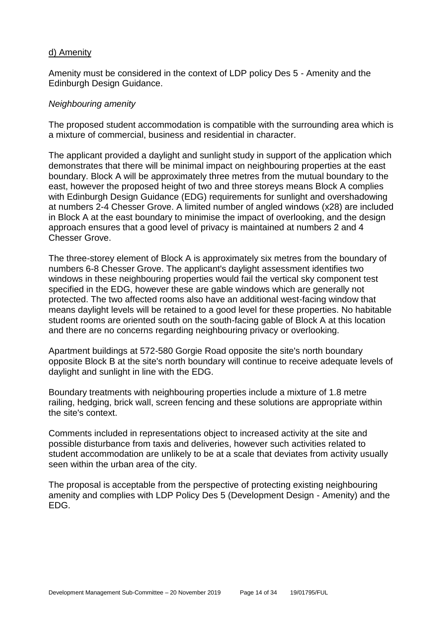#### d) Amenity

Amenity must be considered in the context of LDP policy Des 5 - Amenity and the Edinburgh Design Guidance.

#### *Neighbouring amenity*

The proposed student accommodation is compatible with the surrounding area which is a mixture of commercial, business and residential in character.

The applicant provided a daylight and sunlight study in support of the application which demonstrates that there will be minimal impact on neighbouring properties at the east boundary. Block A will be approximately three metres from the mutual boundary to the east, however the proposed height of two and three storeys means Block A complies with Edinburgh Design Guidance (EDG) requirements for sunlight and overshadowing at numbers 2-4 Chesser Grove. A limited number of angled windows (x28) are included in Block A at the east boundary to minimise the impact of overlooking, and the design approach ensures that a good level of privacy is maintained at numbers 2 and 4 Chesser Grove.

The three-storey element of Block A is approximately six metres from the boundary of numbers 6-8 Chesser Grove. The applicant's daylight assessment identifies two windows in these neighbouring properties would fail the vertical sky component test specified in the EDG, however these are gable windows which are generally not protected. The two affected rooms also have an additional west-facing window that means daylight levels will be retained to a good level for these properties. No habitable student rooms are oriented south on the south-facing gable of Block A at this location and there are no concerns regarding neighbouring privacy or overlooking.

Apartment buildings at 572-580 Gorgie Road opposite the site's north boundary opposite Block B at the site's north boundary will continue to receive adequate levels of daylight and sunlight in line with the EDG.

Boundary treatments with neighbouring properties include a mixture of 1.8 metre railing, hedging, brick wall, screen fencing and these solutions are appropriate within the site's context.

Comments included in representations object to increased activity at the site and possible disturbance from taxis and deliveries, however such activities related to student accommodation are unlikely to be at a scale that deviates from activity usually seen within the urban area of the city.

The proposal is acceptable from the perspective of protecting existing neighbouring amenity and complies with LDP Policy Des 5 (Development Design - Amenity) and the EDG.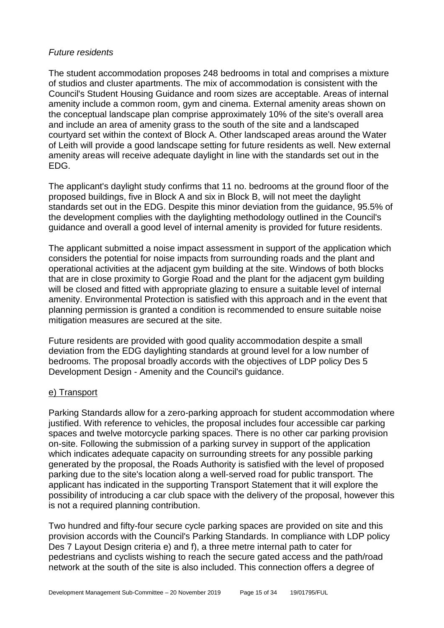#### *Future residents*

The student accommodation proposes 248 bedrooms in total and comprises a mixture of studios and cluster apartments. The mix of accommodation is consistent with the Council's Student Housing Guidance and room sizes are acceptable. Areas of internal amenity include a common room, gym and cinema. External amenity areas shown on the conceptual landscape plan comprise approximately 10% of the site's overall area and include an area of amenity grass to the south of the site and a landscaped courtyard set within the context of Block A. Other landscaped areas around the Water of Leith will provide a good landscape setting for future residents as well. New external amenity areas will receive adequate daylight in line with the standards set out in the EDG.

The applicant's daylight study confirms that 11 no. bedrooms at the ground floor of the proposed buildings, five in Block A and six in Block B, will not meet the daylight standards set out in the EDG. Despite this minor deviation from the guidance, 95.5% of the development complies with the daylighting methodology outlined in the Council's guidance and overall a good level of internal amenity is provided for future residents.

The applicant submitted a noise impact assessment in support of the application which considers the potential for noise impacts from surrounding roads and the plant and operational activities at the adjacent gym building at the site. Windows of both blocks that are in close proximity to Gorgie Road and the plant for the adjacent gym building will be closed and fitted with appropriate glazing to ensure a suitable level of internal amenity. Environmental Protection is satisfied with this approach and in the event that planning permission is granted a condition is recommended to ensure suitable noise mitigation measures are secured at the site.

Future residents are provided with good quality accommodation despite a small deviation from the EDG daylighting standards at ground level for a low number of bedrooms. The proposal broadly accords with the objectives of LDP policy Des 5 Development Design - Amenity and the Council's guidance.

#### e) Transport

Parking Standards allow for a zero-parking approach for student accommodation where justified. With reference to vehicles, the proposal includes four accessible car parking spaces and twelve motorcycle parking spaces. There is no other car parking provision on-site. Following the submission of a parking survey in support of the application which indicates adequate capacity on surrounding streets for any possible parking generated by the proposal, the Roads Authority is satisfied with the level of proposed parking due to the site's location along a well-served road for public transport. The applicant has indicated in the supporting Transport Statement that it will explore the possibility of introducing a car club space with the delivery of the proposal, however this is not a required planning contribution.

Two hundred and fifty-four secure cycle parking spaces are provided on site and this provision accords with the Council's Parking Standards. In compliance with LDP policy Des 7 Layout Design criteria e) and f), a three metre internal path to cater for pedestrians and cyclists wishing to reach the secure gated access and the path/road network at the south of the site is also included. This connection offers a degree of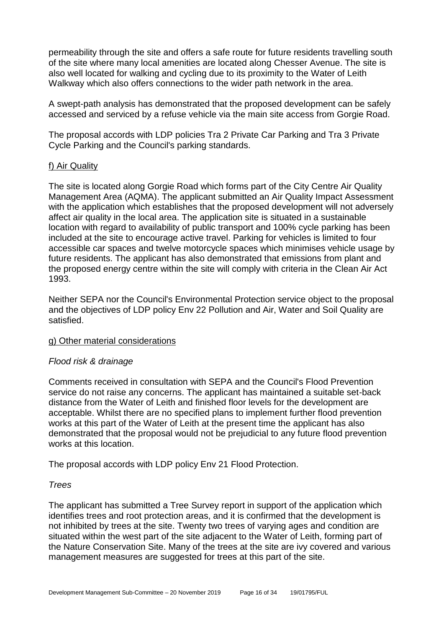permeability through the site and offers a safe route for future residents travelling south of the site where many local amenities are located along Chesser Avenue. The site is also well located for walking and cycling due to its proximity to the Water of Leith Walkway which also offers connections to the wider path network in the area.

A swept-path analysis has demonstrated that the proposed development can be safely accessed and serviced by a refuse vehicle via the main site access from Gorgie Road.

The proposal accords with LDP policies Tra 2 Private Car Parking and Tra 3 Private Cycle Parking and the Council's parking standards.

#### f) Air Quality

The site is located along Gorgie Road which forms part of the City Centre Air Quality Management Area (AQMA). The applicant submitted an Air Quality Impact Assessment with the application which establishes that the proposed development will not adversely affect air quality in the local area. The application site is situated in a sustainable location with regard to availability of public transport and 100% cycle parking has been included at the site to encourage active travel. Parking for vehicles is limited to four accessible car spaces and twelve motorcycle spaces which minimises vehicle usage by future residents. The applicant has also demonstrated that emissions from plant and the proposed energy centre within the site will comply with criteria in the Clean Air Act 1993.

Neither SEPA nor the Council's Environmental Protection service object to the proposal and the objectives of LDP policy Env 22 Pollution and Air, Water and Soil Quality are satisfied.

#### g) Other material considerations

#### *Flood risk & drainage*

Comments received in consultation with SEPA and the Council's Flood Prevention service do not raise any concerns. The applicant has maintained a suitable set-back distance from the Water of Leith and finished floor levels for the development are acceptable. Whilst there are no specified plans to implement further flood prevention works at this part of the Water of Leith at the present time the applicant has also demonstrated that the proposal would not be prejudicial to any future flood prevention works at this location.

The proposal accords with LDP policy Env 21 Flood Protection.

#### *Trees*

The applicant has submitted a Tree Survey report in support of the application which identifies trees and root protection areas, and it is confirmed that the development is not inhibited by trees at the site. Twenty two trees of varying ages and condition are situated within the west part of the site adjacent to the Water of Leith, forming part of the Nature Conservation Site. Many of the trees at the site are ivy covered and various management measures are suggested for trees at this part of the site.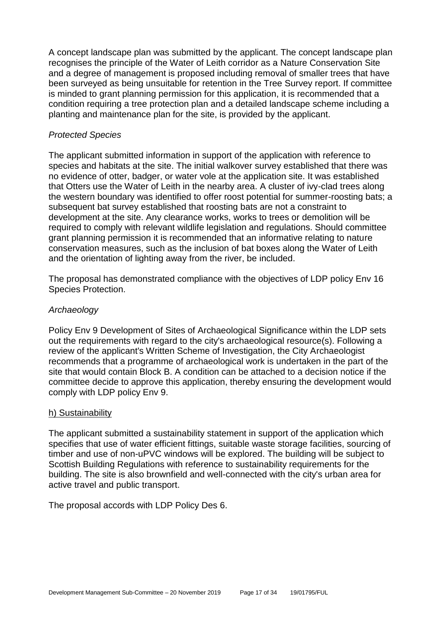A concept landscape plan was submitted by the applicant. The concept landscape plan recognises the principle of the Water of Leith corridor as a Nature Conservation Site and a degree of management is proposed including removal of smaller trees that have been surveyed as being unsuitable for retention in the Tree Survey report. If committee is minded to grant planning permission for this application, it is recommended that a condition requiring a tree protection plan and a detailed landscape scheme including a planting and maintenance plan for the site, is provided by the applicant.

#### *Protected Species*

The applicant submitted information in support of the application with reference to species and habitats at the site. The initial walkover survey established that there was no evidence of otter, badger, or water vole at the application site. It was established that Otters use the Water of Leith in the nearby area. A cluster of ivy-clad trees along the western boundary was identified to offer roost potential for summer-roosting bats; a subsequent bat survey established that roosting bats are not a constraint to development at the site. Any clearance works, works to trees or demolition will be required to comply with relevant wildlife legislation and regulations. Should committee grant planning permission it is recommended that an informative relating to nature conservation measures, such as the inclusion of bat boxes along the Water of Leith and the orientation of lighting away from the river, be included.

The proposal has demonstrated compliance with the objectives of LDP policy Env 16 Species Protection.

#### *Archaeology*

Policy Env 9 Development of Sites of Archaeological Significance within the LDP sets out the requirements with regard to the city's archaeological resource(s). Following a review of the applicant's Written Scheme of Investigation, the City Archaeologist recommends that a programme of archaeological work is undertaken in the part of the site that would contain Block B. A condition can be attached to a decision notice if the committee decide to approve this application, thereby ensuring the development would comply with LDP policy Env 9.

#### h) Sustainability

The applicant submitted a sustainability statement in support of the application which specifies that use of water efficient fittings, suitable waste storage facilities, sourcing of timber and use of non-uPVC windows will be explored. The building will be subject to Scottish Building Regulations with reference to sustainability requirements for the building. The site is also brownfield and well-connected with the city's urban area for active travel and public transport.

The proposal accords with LDP Policy Des 6.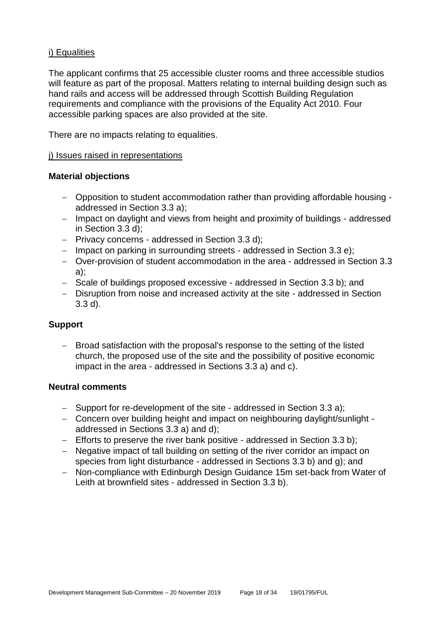#### i) Equalities

The applicant confirms that 25 accessible cluster rooms and three accessible studios will feature as part of the proposal. Matters relating to internal building design such as hand rails and access will be addressed through Scottish Building Regulation requirements and compliance with the provisions of the Equality Act 2010. Four accessible parking spaces are also provided at the site.

There are no impacts relating to equalities.

#### j) Issues raised in representations

#### **Material objections**

- − Opposition to student accommodation rather than providing affordable housing addressed in Section 3.3 a);
- − Impact on daylight and views from height and proximity of buildings addressed in Section 3.3 d);
- − Privacy concerns addressed in Section 3.3 d);
- − Impact on parking in surrounding streets addressed in Section 3.3 e);
- − Over-provision of student accommodation in the area addressed in Section 3.3 a);
- − Scale of buildings proposed excessive addressed in Section 3.3 b); and
- − Disruption from noise and increased activity at the site addressed in Section 3.3 d).

#### **Support**

Broad satisfaction with the proposal's response to the setting of the listed church, the proposed use of the site and the possibility of positive economic impact in the area - addressed in Sections 3.3 a) and c).

#### **Neutral comments**

- − Support for re-development of the site addressed in Section 3.3 a);
- − Concern over building height and impact on neighbouring daylight/sunlight addressed in Sections 3.3 a) and d);
- − Efforts to preserve the river bank positive addressed in Section 3.3 b);
- − Negative impact of tall building on setting of the river corridor an impact on species from light disturbance - addressed in Sections 3.3 b) and g); and
- − Non-compliance with Edinburgh Design Guidance 15m set-back from Water of Leith at brownfield sites - addressed in Section 3.3 b).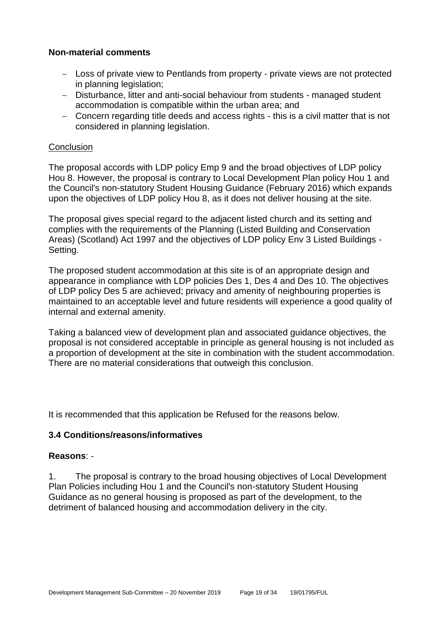#### **Non-material comments**

- − Loss of private view to Pentlands from property private views are not protected in planning legislation;
- − Disturbance, litter and anti-social behaviour from students managed student accommodation is compatible within the urban area; and
- − Concern regarding title deeds and access rights this is a civil matter that is not considered in planning legislation.

#### **Conclusion**

The proposal accords with LDP policy Emp 9 and the broad objectives of LDP policy Hou 8. However, the proposal is contrary to Local Development Plan policy Hou 1 and the Council's non-statutory Student Housing Guidance (February 2016) which expands upon the objectives of LDP policy Hou 8, as it does not deliver housing at the site.

The proposal gives special regard to the adjacent listed church and its setting and complies with the requirements of the Planning (Listed Building and Conservation Areas) (Scotland) Act 1997 and the objectives of LDP policy Env 3 Listed Buildings - Setting.

The proposed student accommodation at this site is of an appropriate design and appearance in compliance with LDP policies Des 1, Des 4 and Des 10. The objectives of LDP policy Des 5 are achieved; privacy and amenity of neighbouring properties is maintained to an acceptable level and future residents will experience a good quality of internal and external amenity.

Taking a balanced view of development plan and associated guidance objectives, the proposal is not considered acceptable in principle as general housing is not included as a proportion of development at the site in combination with the student accommodation. There are no material considerations that outweigh this conclusion.

It is recommended that this application be Refused for the reasons below.

#### **3.4 Conditions/reasons/informatives**

#### **Reasons**: -

1. The proposal is contrary to the broad housing objectives of Local Development Plan Policies including Hou 1 and the Council's non-statutory Student Housing Guidance as no general housing is proposed as part of the development, to the detriment of balanced housing and accommodation delivery in the city.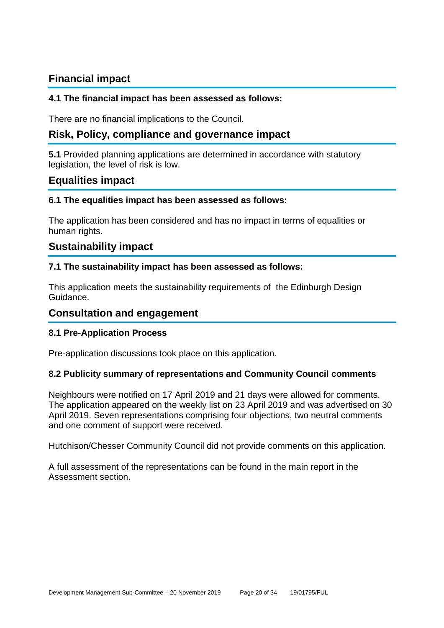### **Financial impact**

#### **4.1 The financial impact has been assessed as follows:**

There are no financial implications to the Council.

### **Risk, Policy, compliance and governance impact**

**5.1** Provided planning applications are determined in accordance with statutory legislation, the level of risk is low.

#### **Equalities impact**

#### **6.1 The equalities impact has been assessed as follows:**

The application has been considered and has no impact in terms of equalities or human rights.

#### **Sustainability impact**

#### **7.1 The sustainability impact has been assessed as follows:**

This application meets the sustainability requirements of the Edinburgh Design Guidance.

#### **Consultation and engagement**

#### **8.1 Pre-Application Process**

Pre-application discussions took place on this application.

#### **8.2 Publicity summary of representations and Community Council comments**

Neighbours were notified on 17 April 2019 and 21 days were allowed for comments. The application appeared on the weekly list on 23 April 2019 and was advertised on 30 April 2019. Seven representations comprising four objections, two neutral comments and one comment of support were received.

Hutchison/Chesser Community Council did not provide comments on this application.

A full assessment of the representations can be found in the main report in the Assessment section.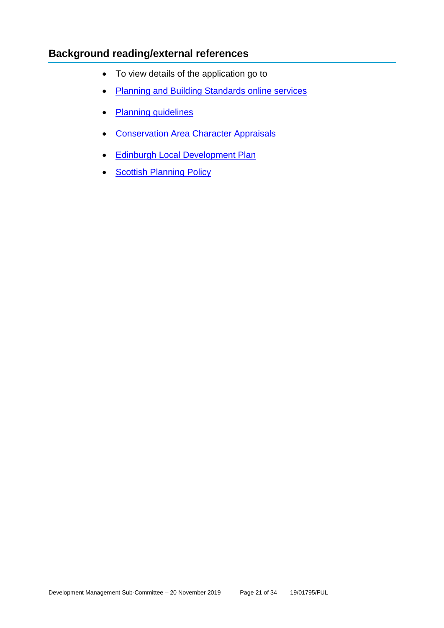### **Background reading/external references**

- To view details of the application go to
- [Planning and Building Standards online services](https://citydev-portal.edinburgh.gov.uk/idoxpa-web/search.do?action=simple&searchType=Application)
- [Planning guidelines](http://www.edinburgh.gov.uk/planningguidelines)
- [Conservation Area Character Appraisals](http://www.edinburgh.gov.uk/characterappraisals)
- [Edinburgh Local Development Plan](http://www.edinburgh.gov.uk/localdevelopmentplan)
- [Scottish Planning Policy](http://www.scotland.gov.uk/Topics/Built-Environment/planning/Policy)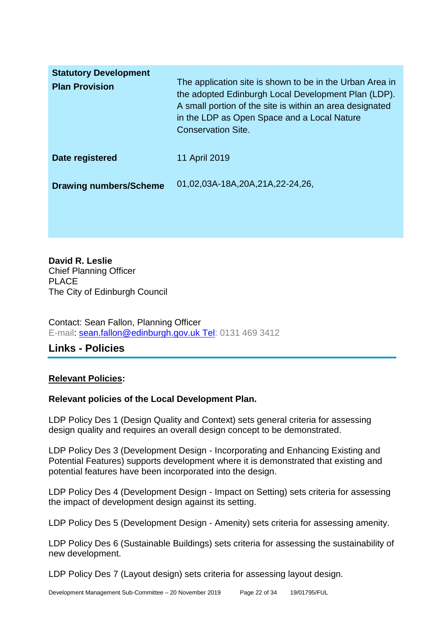| <b>Statutory Development</b><br><b>Plan Provision</b> | The application site is shown to be in the Urban Area in<br>the adopted Edinburgh Local Development Plan (LDP).<br>A small portion of the site is within an area designated<br>in the LDP as Open Space and a Local Nature<br><b>Conservation Site.</b> |
|-------------------------------------------------------|---------------------------------------------------------------------------------------------------------------------------------------------------------------------------------------------------------------------------------------------------------|
| Date registered                                       | 11 April 2019                                                                                                                                                                                                                                           |
| <b>Drawing numbers/Scheme</b>                         | 01,02,03A-18A,20A,21A,22-24,26,                                                                                                                                                                                                                         |

**David R. Leslie** Chief Planning Officer PLACE The City of Edinburgh Council

Contact: Sean Fallon, Planning Officer E-mail: [sean.fallon@edinburgh.gov.uk Tel:](mailto:sean.fallon@edinburgh.gov.uk%20Tel) 0131 469 3412

### **Links - Policies**

#### **Relevant Policies:**

#### **Relevant policies of the Local Development Plan.**

LDP Policy Des 1 (Design Quality and Context) sets general criteria for assessing design quality and requires an overall design concept to be demonstrated.

LDP Policy Des 3 (Development Design - Incorporating and Enhancing Existing and Potential Features) supports development where it is demonstrated that existing and potential features have been incorporated into the design.

LDP Policy Des 4 (Development Design - Impact on Setting) sets criteria for assessing the impact of development design against its setting.

LDP Policy Des 5 (Development Design - Amenity) sets criteria for assessing amenity.

LDP Policy Des 6 (Sustainable Buildings) sets criteria for assessing the sustainability of new development.

LDP Policy Des 7 (Layout design) sets criteria for assessing layout design.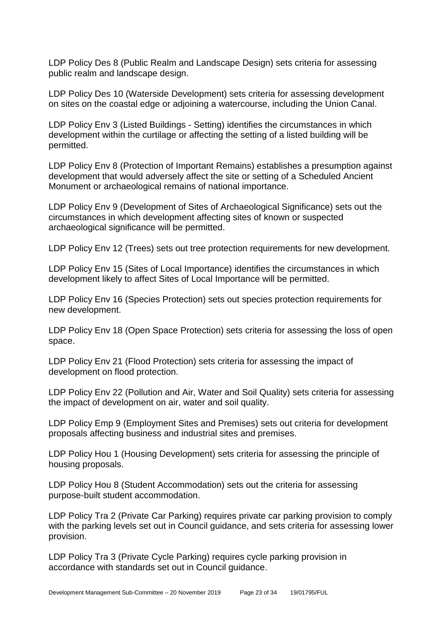LDP Policy Des 8 (Public Realm and Landscape Design) sets criteria for assessing public realm and landscape design.

LDP Policy Des 10 (Waterside Development) sets criteria for assessing development on sites on the coastal edge or adjoining a watercourse, including the Union Canal.

LDP Policy Env 3 (Listed Buildings - Setting) identifies the circumstances in which development within the curtilage or affecting the setting of a listed building will be permitted.

LDP Policy Env 8 (Protection of Important Remains) establishes a presumption against development that would adversely affect the site or setting of a Scheduled Ancient Monument or archaeological remains of national importance.

LDP Policy Env 9 (Development of Sites of Archaeological Significance) sets out the circumstances in which development affecting sites of known or suspected archaeological significance will be permitted.

LDP Policy Env 12 (Trees) sets out tree protection requirements for new development.

LDP Policy Env 15 (Sites of Local Importance) identifies the circumstances in which development likely to affect Sites of Local Importance will be permitted.

LDP Policy Env 16 (Species Protection) sets out species protection requirements for new development.

LDP Policy Env 18 (Open Space Protection) sets criteria for assessing the loss of open space.

LDP Policy Env 21 (Flood Protection) sets criteria for assessing the impact of development on flood protection.

LDP Policy Env 22 (Pollution and Air, Water and Soil Quality) sets criteria for assessing the impact of development on air, water and soil quality.

LDP Policy Emp 9 (Employment Sites and Premises) sets out criteria for development proposals affecting business and industrial sites and premises.

LDP Policy Hou 1 (Housing Development) sets criteria for assessing the principle of housing proposals.

LDP Policy Hou 8 (Student Accommodation) sets out the criteria for assessing purpose-built student accommodation.

LDP Policy Tra 2 (Private Car Parking) requires private car parking provision to comply with the parking levels set out in Council guidance, and sets criteria for assessing lower provision.

LDP Policy Tra 3 (Private Cycle Parking) requires cycle parking provision in accordance with standards set out in Council guidance.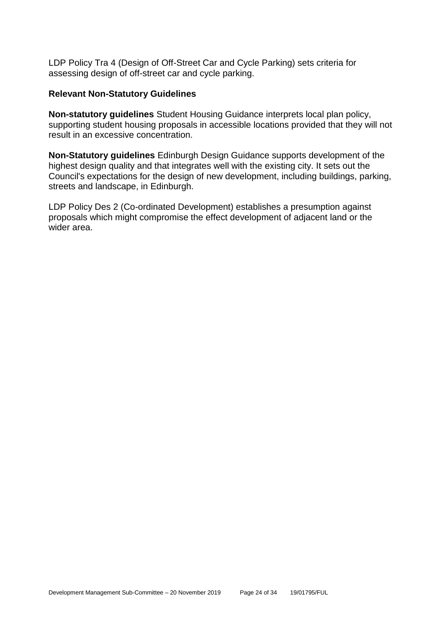LDP Policy Tra 4 (Design of Off-Street Car and Cycle Parking) sets criteria for assessing design of off-street car and cycle parking.

#### **Relevant Non-Statutory Guidelines**

**Non-statutory guidelines** Student Housing Guidance interprets local plan policy, supporting student housing proposals in accessible locations provided that they will not result in an excessive concentration.

**Non-Statutory guidelines** Edinburgh Design Guidance supports development of the highest design quality and that integrates well with the existing city. It sets out the Council's expectations for the design of new development, including buildings, parking, streets and landscape, in Edinburgh.

LDP Policy Des 2 (Co-ordinated Development) establishes a presumption against proposals which might compromise the effect development of adjacent land or the wider area.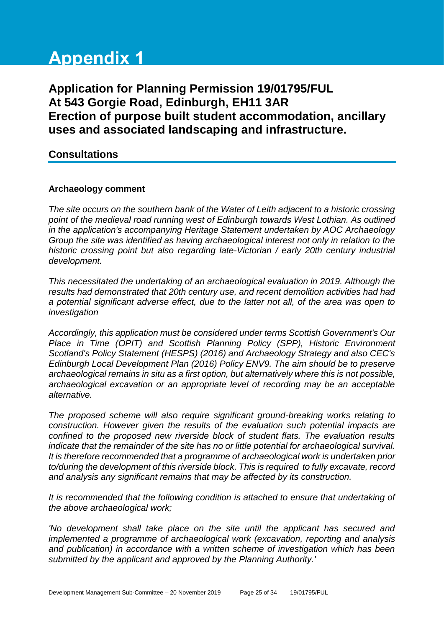# **Appendix 1**

**Application for Planning Permission 19/01795/FUL At 543 Gorgie Road, Edinburgh, EH11 3AR Erection of purpose built student accommodation, ancillary uses and associated landscaping and infrastructure.**

#### **Consultations**

#### **Archaeology comment**

*The site occurs on the southern bank of the Water of Leith adjacent to a historic crossing point of the medieval road running west of Edinburgh towards West Lothian. As outlined in the application's accompanying Heritage Statement undertaken by AOC Archaeology Group the site was identified as having archaeological interest not only in relation to the historic crossing point but also regarding late-Victorian / early 20th century industrial development.* 

*This necessitated the undertaking of an archaeological evaluation in 2019. Although the results had demonstrated that 20th century use, and recent demolition activities had had a potential significant adverse effect, due to the latter not all, of the area was open to investigation* 

*Accordingly, this application must be considered under terms Scottish Government's Our Place in Time (OPIT) and Scottish Planning Policy (SPP), Historic Environment Scotland's Policy Statement (HESPS) (2016) and Archaeology Strategy and also CEC's Edinburgh Local Development Plan (2016) Policy ENV9. The aim should be to preserve archaeological remains in situ as a first option, but alternatively where this is not possible, archaeological excavation or an appropriate level of recording may be an acceptable alternative.*

*The proposed scheme will also require significant ground-breaking works relating to construction. However given the results of the evaluation such potential impacts are confined to the proposed new riverside block of student flats. The evaluation results indicate that the remainder of the site has no or little potential for archaeological survival. It is therefore recommended that a programme of archaeological work is undertaken prior to/during the development of this riverside block. This is required to fully excavate, record and analysis any significant remains that may be affected by its construction.* 

*It is recommended that the following condition is attached to ensure that undertaking of the above archaeological work;* 

*'No development shall take place on the site until the applicant has secured and implemented a programme of archaeological work (excavation, reporting and analysis and publication) in accordance with a written scheme of investigation which has been submitted by the applicant and approved by the Planning Authority.'*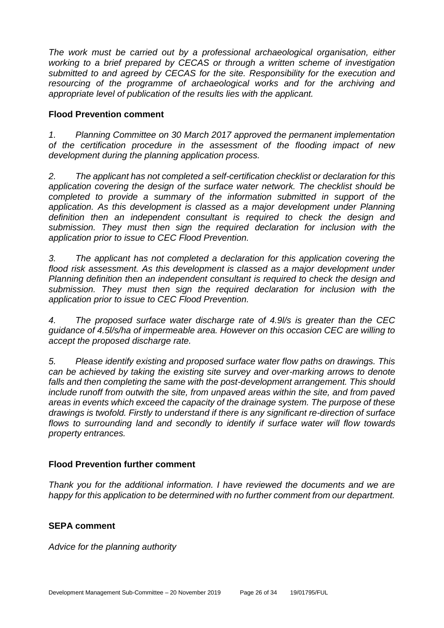*The work must be carried out by a professional archaeological organisation, either working to a brief prepared by CECAS or through a written scheme of investigation submitted to and agreed by CECAS for the site. Responsibility for the execution and resourcing of the programme of archaeological works and for the archiving and appropriate level of publication of the results lies with the applicant.*

#### **Flood Prevention comment**

*1. Planning Committee on 30 March 2017 approved the permanent implementation of the certification procedure in the assessment of the flooding impact of new development during the planning application process.*

*2. The applicant has not completed a self-certification checklist or declaration for this application covering the design of the surface water network. The checklist should be completed to provide a summary of the information submitted in support of the application. As this development is classed as a major development under Planning definition then an independent consultant is required to check the design and submission. They must then sign the required declaration for inclusion with the application prior to issue to CEC Flood Prevention.*

*3. The applicant has not completed a declaration for this application covering the flood risk assessment. As this development is classed as a major development under Planning definition then an independent consultant is required to check the design and submission. They must then sign the required declaration for inclusion with the application prior to issue to CEC Flood Prevention.*

*4. The proposed surface water discharge rate of 4.9l/s is greater than the CEC guidance of 4.5l/s/ha of impermeable area. However on this occasion CEC are willing to accept the proposed discharge rate.*

*5. Please identify existing and proposed surface water flow paths on drawings. This can be achieved by taking the existing site survey and over-marking arrows to denote falls and then completing the same with the post-development arrangement. This should include runoff from outwith the site, from unpaved areas within the site, and from paved areas in events which exceed the capacity of the drainage system. The purpose of these drawings is twofold. Firstly to understand if there is any significant re-direction of surface flows to surrounding land and secondly to identify if surface water will flow towards property entrances.*

#### **Flood Prevention further comment**

*Thank you for the additional information. I have reviewed the documents and we are happy for this application to be determined with no further comment from our department.* 

#### **SEPA comment**

*Advice for the planning authority*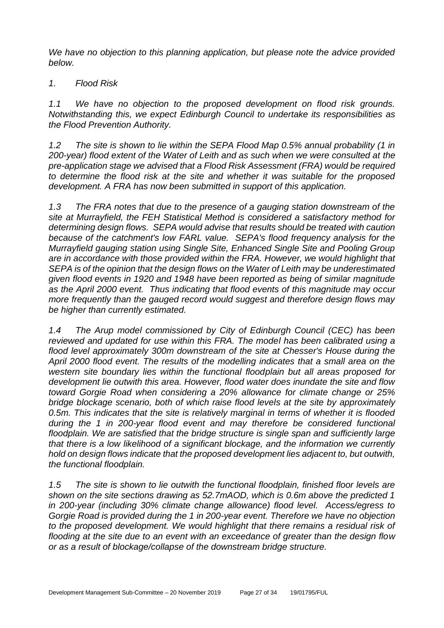*We have no objection to this planning application, but please note the advice provided below.*

#### *1. Flood Risk*

*1.1 We have no objection to the proposed development on flood risk grounds. Notwithstanding this, we expect Edinburgh Council to undertake its responsibilities as the Flood Prevention Authority.*

*1.2 The site is shown to lie within the SEPA Flood Map 0.5% annual probability (1 in 200-year) flood extent of the Water of Leith and as such when we were consulted at the pre-application stage we advised that a Flood Risk Assessment (FRA) would be required to determine the flood risk at the site and whether it was suitable for the proposed development. A FRA has now been submitted in support of this application.*

*1.3 The FRA notes that due to the presence of a gauging station downstream of the site at Murrayfield, the FEH Statistical Method is considered a satisfactory method for determining design flows. SEPA would advise that results should be treated with caution because of the catchment's low FARL value. SEPA's flood frequency analysis for the Murrayfield gauging station using Single Site, Enhanced Single Site and Pooling Group are in accordance with those provided within the FRA. However, we would highlight that SEPA is of the opinion that the design flows on the Water of Leith may be underestimated given flood events in 1920 and 1948 have been reported as being of similar magnitude as the April 2000 event. Thus indicating that flood events of this magnitude may occur more frequently than the gauged record would suggest and therefore design flows may be higher than currently estimated.* 

*1.4 The Arup model commissioned by City of Edinburgh Council (CEC) has been reviewed and updated for use within this FRA. The model has been calibrated using a flood level approximately 300m downstream of the site at Chesser's House during the April 2000 flood event. The results of the modelling indicates that a small area on the western site boundary lies within the functional floodplain but all areas proposed for development lie outwith this area. However, flood water does inundate the site and flow toward Gorgie Road when considering a 20% allowance for climate change or 25% bridge blockage scenario, both of which raise flood levels at the site by approximately 0.5m. This indicates that the site is relatively marginal in terms of whether it is flooded during the 1 in 200-year flood event and may therefore be considered functional floodplain. We are satisfied that the bridge structure is single span and sufficiently large that there is a low likelihood of a significant blockage, and the information we currently hold on design flows indicate that the proposed development lies adjacent to, but outwith, the functional floodplain.* 

*1.5 The site is shown to lie outwith the functional floodplain, finished floor levels are shown on the site sections drawing as 52.7mAOD, which is 0.6m above the predicted 1 in 200-year (including 30% climate change allowance) flood level. Access/egress to Gorgie Road is provided during the 1 in 200-year event. Therefore we have no objection to the proposed development. We would highlight that there remains a residual risk of flooding at the site due to an event with an exceedance of greater than the design flow or as a result of blockage/collapse of the downstream bridge structure.*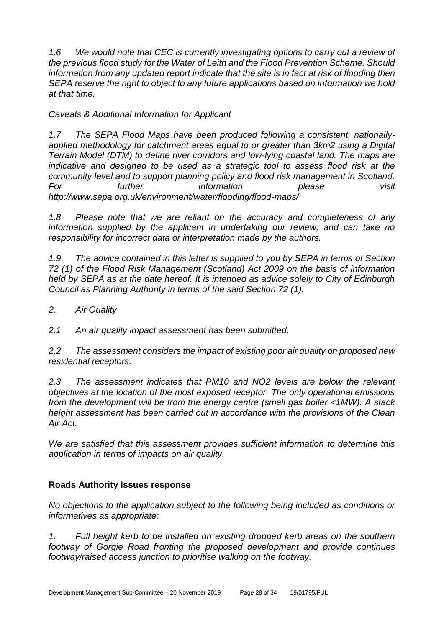*1.6 We would note that CEC is currently investigating options to carry out a review of the previous flood study for the Water of Leith and the Flood Prevention Scheme. Should information from any updated report indicate that the site is in fact at risk of flooding then SEPA reserve the right to object to any future applications based on information we hold at that time.*

*Caveats & Additional Information for Applicant* 

*1.7 The SEPA Flood Maps have been produced following a consistent, nationallyapplied methodology for catchment areas equal to or greater than 3km2 using a Digital Terrain Model (DTM) to define river corridors and low-lying coastal land. The maps are indicative and designed to be used as a strategic tool to assess flood risk at the community level and to support planning policy and flood risk management in Scotland. For further information please visit http://www.sepa.org.uk/environment/water/flooding/flood-maps/* 

*1.8 Please note that we are reliant on the accuracy and completeness of any information supplied by the applicant in undertaking our review, and can take no responsibility for incorrect data or interpretation made by the authors.*

*1.9 The advice contained in this letter is supplied to you by SEPA in terms of Section 72 (1) of the Flood Risk Management (Scotland) Act 2009 on the basis of information held by SEPA as at the date hereof. It is intended as advice solely to City of Edinburgh Council as Planning Authority in terms of the said Section 72 (1).* 

*2. Air Quality*

*2.1 An air quality impact assessment has been submitted.* 

*2.2 The assessment considers the impact of existing poor air quality on proposed new residential receptors.* 

*2.3 The assessment indicates that PM10 and NO2 levels are below the relevant objectives at the location of the most exposed receptor. The only operational emissions from the development will be from the energy centre (small gas boiler <1MW). A stack height assessment has been carried out in accordance with the provisions of the Clean Air Act.* 

*We are satisfied that this assessment provides sufficient information to determine this application in terms of impacts on air quality.*

#### **Roads Authority Issues response**

*No objections to the application subject to the following being included as conditions or informatives as appropriate:*

*1. Full height kerb to be installed on existing dropped kerb areas on the southern footway of Gorgie Road fronting the proposed development and provide continues footway/raised access junction to prioritise walking on the footway.*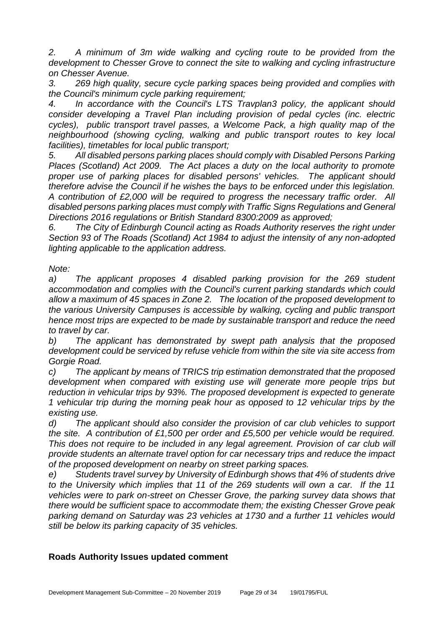*2. A minimum of 3m wide walking and cycling route to be provided from the development to Chesser Grove to connect the site to walking and cycling infrastructure on Chesser Avenue.* 

*3. 269 high quality, secure cycle parking spaces being provided and complies with the Council's minimum cycle parking requirement;*

*4. In accordance with the Council's LTS Travplan3 policy, the applicant should consider developing a Travel Plan including provision of pedal cycles (inc. electric cycles), public transport travel passes, a Welcome Pack, a high quality map of the neighbourhood (showing cycling, walking and public transport routes to key local facilities), timetables for local public transport;* 

*5. All disabled persons parking places should comply with Disabled Persons Parking Places (Scotland) Act 2009. The Act places a duty on the local authority to promote proper use of parking places for disabled persons' vehicles. The applicant should therefore advise the Council if he wishes the bays to be enforced under this legislation. A contribution of £2,000 will be required to progress the necessary traffic order. All disabled persons parking places must comply with Traffic Signs Regulations and General Directions 2016 regulations or British Standard 8300:2009 as approved;*

*6. The City of Edinburgh Council acting as Roads Authority reserves the right under Section 93 of The Roads (Scotland) Act 1984 to adjust the intensity of any non-adopted lighting applicable to the application address.*

*Note:*

*a) The applicant proposes 4 disabled parking provision for the 269 student accommodation and complies with the Council's current parking standards which could allow a maximum of 45 spaces in Zone 2. The location of the proposed development to the various University Campuses is accessible by walking, cycling and public transport hence most trips are expected to be made by sustainable transport and reduce the need to travel by car.*

*b) The applicant has demonstrated by swept path analysis that the proposed development could be serviced by refuse vehicle from within the site via site access from Gorgie Road.*

*c) The applicant by means of TRICS trip estimation demonstrated that the proposed development when compared with existing use will generate more people trips but reduction in vehicular trips by 93%. The proposed development is expected to generate 1 vehicular trip during the morning peak hour as opposed to 12 vehicular trips by the existing use.*

*d) The applicant should also consider the provision of car club vehicles to support the site. A contribution of £1,500 per order and £5,500 per vehicle would be required. This does not require to be included in any legal agreement. Provision of car club will provide students an alternate travel option for car necessary trips and reduce the impact of the proposed development on nearby on street parking spaces.*

*e) Students travel survey by University of Edinburgh shows that 4% of students drive to the University which implies that 11 of the 269 students will own a car. If the 11 vehicles were to park on-street on Chesser Grove, the parking survey data shows that there would be sufficient space to accommodate them; the existing Chesser Grove peak parking demand on Saturday was 23 vehicles at 1730 and a further 11 vehicles would still be below its parking capacity of 35 vehicles.*

#### **Roads Authority Issues updated comment**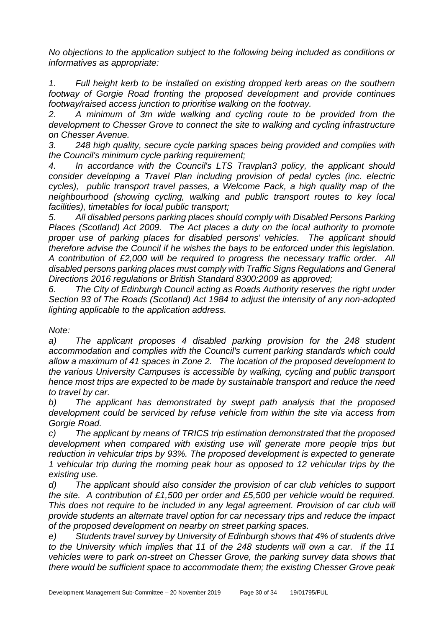*No objections to the application subject to the following being included as conditions or informatives as appropriate:*

*1. Full height kerb to be installed on existing dropped kerb areas on the southern footway of Gorgie Road fronting the proposed development and provide continues footway/raised access junction to prioritise walking on the footway.*

*2. A minimum of 3m wide walking and cycling route to be provided from the development to Chesser Grove to connect the site to walking and cycling infrastructure on Chesser Avenue.* 

*3. 248 high quality, secure cycle parking spaces being provided and complies with the Council's minimum cycle parking requirement;*

*4. In accordance with the Council's LTS Travplan3 policy, the applicant should consider developing a Travel Plan including provision of pedal cycles (inc. electric cycles), public transport travel passes, a Welcome Pack, a high quality map of the neighbourhood (showing cycling, walking and public transport routes to key local facilities), timetables for local public transport;* 

*5. All disabled persons parking places should comply with Disabled Persons Parking Places (Scotland) Act 2009. The Act places a duty on the local authority to promote proper use of parking places for disabled persons' vehicles. The applicant should therefore advise the Council if he wishes the bays to be enforced under this legislation. A contribution of £2,000 will be required to progress the necessary traffic order. All disabled persons parking places must comply with Traffic Signs Regulations and General Directions 2016 regulations or British Standard 8300:2009 as approved;*

*6. The City of Edinburgh Council acting as Roads Authority reserves the right under Section 93 of The Roads (Scotland) Act 1984 to adjust the intensity of any non-adopted lighting applicable to the application address.*

*Note:*

*a) The applicant proposes 4 disabled parking provision for the 248 student accommodation and complies with the Council's current parking standards which could allow a maximum of 41 spaces in Zone 2. The location of the proposed development to the various University Campuses is accessible by walking, cycling and public transport hence most trips are expected to be made by sustainable transport and reduce the need to travel by car.*

*b) The applicant has demonstrated by swept path analysis that the proposed development could be serviced by refuse vehicle from within the site via access from Gorgie Road.*

*c) The applicant by means of TRICS trip estimation demonstrated that the proposed development when compared with existing use will generate more people trips but reduction in vehicular trips by 93%. The proposed development is expected to generate 1 vehicular trip during the morning peak hour as opposed to 12 vehicular trips by the existing use.*

*d) The applicant should also consider the provision of car club vehicles to support the site. A contribution of £1,500 per order and £5,500 per vehicle would be required. This does not require to be included in any legal agreement. Provision of car club will provide students an alternate travel option for car necessary trips and reduce the impact of the proposed development on nearby on street parking spaces.*

*e) Students travel survey by University of Edinburgh shows that 4% of students drive to the University which implies that 11 of the 248 students will own a car. If the 11 vehicles were to park on-street on Chesser Grove, the parking survey data shows that there would be sufficient space to accommodate them; the existing Chesser Grove peak*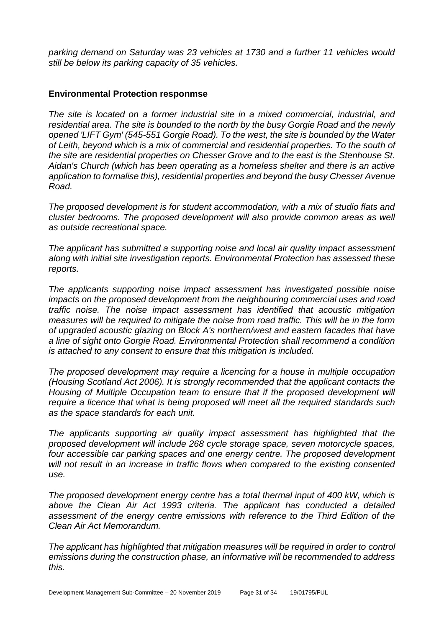*parking demand on Saturday was 23 vehicles at 1730 and a further 11 vehicles would still be below its parking capacity of 35 vehicles.*

#### **Environmental Protection responmse**

*The site is located on a former industrial site in a mixed commercial, industrial, and residential area. The site is bounded to the north by the busy Gorgie Road and the newly opened 'LIFT Gym' (545-551 Gorgie Road). To the west, the site is bounded by the Water of Leith, beyond which is a mix of commercial and residential properties. To the south of the site are residential properties on Chesser Grove and to the east is the Stenhouse St. Aidan's Church (which has been operating as a homeless shelter and there is an active application to formalise this), residential properties and beyond the busy Chesser Avenue Road.*

*The proposed development is for student accommodation, with a mix of studio flats and cluster bedrooms. The proposed development will also provide common areas as well as outside recreational space.*

*The applicant has submitted a supporting noise and local air quality impact assessment along with initial site investigation reports. Environmental Protection has assessed these reports.*

*The applicants supporting noise impact assessment has investigated possible noise impacts on the proposed development from the neighbouring commercial uses and road traffic noise. The noise impact assessment has identified that acoustic mitigation measures will be required to mitigate the noise from road traffic. This will be in the form of upgraded acoustic glazing on Block A's northern/west and eastern facades that have a line of sight onto Gorgie Road. Environmental Protection shall recommend a condition is attached to any consent to ensure that this mitigation is included.*

*The proposed development may require a licencing for a house in multiple occupation (Housing Scotland Act 2006). It is strongly recommended that the applicant contacts the Housing of Multiple Occupation team to ensure that if the proposed development will require a licence that what is being proposed will meet all the required standards such as the space standards for each unit.* 

*The applicants supporting air quality impact assessment has highlighted that the proposed development will include 268 cycle storage space, seven motorcycle spaces, four accessible car parking spaces and one energy centre. The proposed development will not result in an increase in traffic flows when compared to the existing consented use.* 

*The proposed development energy centre has a total thermal input of 400 kW, which is above the Clean Air Act 1993 criteria. The applicant has conducted a detailed assessment of the energy centre emissions with reference to the Third Edition of the Clean Air Act Memorandum.*

*The applicant has highlighted that mitigation measures will be required in order to control emissions during the construction phase, an informative will be recommended to address this.*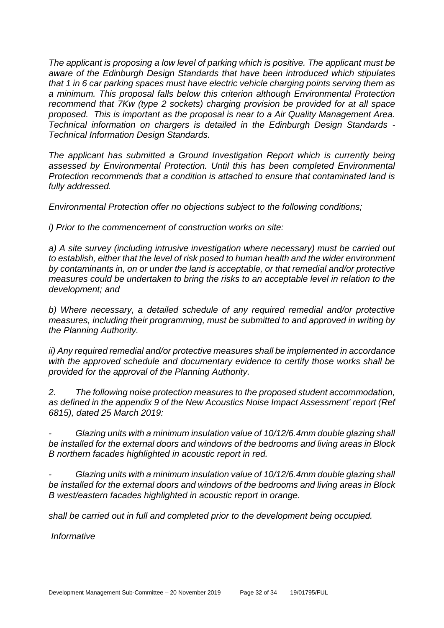*The applicant is proposing a low level of parking which is positive. The applicant must be aware of the Edinburgh Design Standards that have been introduced which stipulates that 1 in 6 car parking spaces must have electric vehicle charging points serving them as a minimum. This proposal falls below this criterion although Environmental Protection recommend that 7Kw (type 2 sockets) charging provision be provided for at all space proposed. This is important as the proposal is near to a Air Quality Management Area. Technical information on chargers is detailed in the Edinburgh Design Standards - Technical Information Design Standards.* 

*The applicant has submitted a Ground Investigation Report which is currently being assessed by Environmental Protection. Until this has been completed Environmental Protection recommends that a condition is attached to ensure that contaminated land is fully addressed.*

*Environmental Protection offer no objections subject to the following conditions;*

*i) Prior to the commencement of construction works on site:*

*a) A site survey (including intrusive investigation where necessary) must be carried out to establish, either that the level of risk posed to human health and the wider environment by contaminants in, on or under the land is acceptable, or that remedial and/or protective measures could be undertaken to bring the risks to an acceptable level in relation to the development; and*

*b) Where necessary, a detailed schedule of any required remedial and/or protective measures, including their programming, must be submitted to and approved in writing by the Planning Authority.*

*ii) Any required remedial and/or protective measures shall be implemented in accordance with the approved schedule and documentary evidence to certify those works shall be provided for the approval of the Planning Authority.*

*2. The following noise protection measures to the proposed student accommodation, as defined in the appendix 9 of the New Acoustics Noise Impact Assessment' report (Ref 6815), dated 25 March 2019:*

*- Glazing units with a minimum insulation value of 10/12/6.4mm double glazing shall be installed for the external doors and windows of the bedrooms and living areas in Block B northern facades highlighted in acoustic report in red.* 

*- Glazing units with a minimum insulation value of 10/12/6.4mm double glazing shall be installed for the external doors and windows of the bedrooms and living areas in Block B west/eastern facades highlighted in acoustic report in orange.* 

*shall be carried out in full and completed prior to the development being occupied.*

*Informative*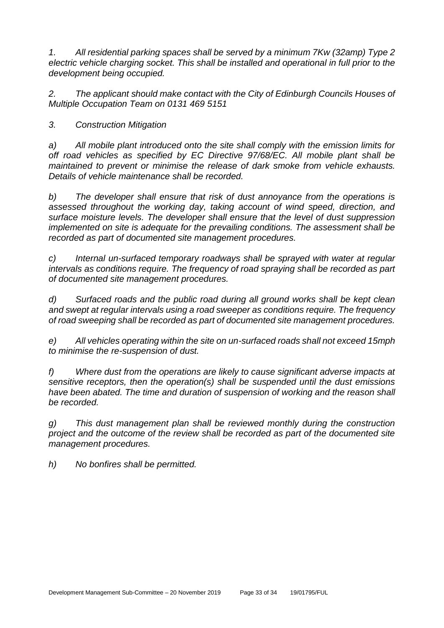*1. All residential parking spaces shall be served by a minimum 7Kw (32amp) Type 2 electric vehicle charging socket. This shall be installed and operational in full prior to the development being occupied.*

*2. The applicant should make contact with the City of Edinburgh Councils Houses of Multiple Occupation Team on 0131 469 5151*

*3. Construction Mitigation*

*a) All mobile plant introduced onto the site shall comply with the emission limits for off road vehicles as specified by EC Directive 97/68/EC. All mobile plant shall be maintained to prevent or minimise the release of dark smoke from vehicle exhausts. Details of vehicle maintenance shall be recorded.*

*b) The developer shall ensure that risk of dust annoyance from the operations is assessed throughout the working day, taking account of wind speed, direction, and surface moisture levels. The developer shall ensure that the level of dust suppression implemented on site is adequate for the prevailing conditions. The assessment shall be recorded as part of documented site management procedures.*

*c) Internal un-surfaced temporary roadways shall be sprayed with water at regular intervals as conditions require. The frequency of road spraying shall be recorded as part of documented site management procedures.*

*d) Surfaced roads and the public road during all ground works shall be kept clean and swept at regular intervals using a road sweeper as conditions require. The frequency of road sweeping shall be recorded as part of documented site management procedures.*

*e) All vehicles operating within the site on un-surfaced roads shall not exceed 15mph to minimise the re-suspension of dust.*

*f) Where dust from the operations are likely to cause significant adverse impacts at sensitive receptors, then the operation(s) shall be suspended until the dust emissions*  have been abated. The time and duration of suspension of working and the reason shall *be recorded.*

*g) This dust management plan shall be reviewed monthly during the construction project and the outcome of the review shall be recorded as part of the documented site management procedures.*

*h) No bonfires shall be permitted.*